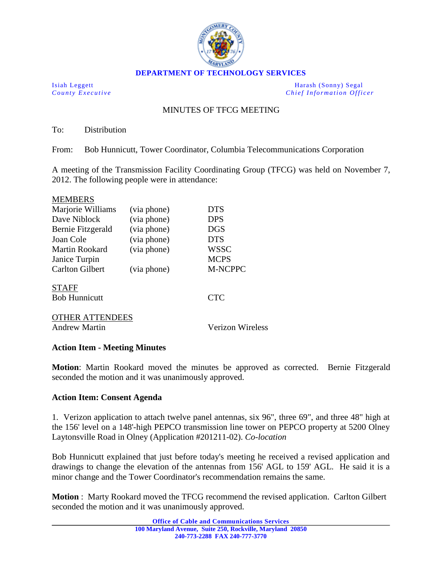

**DEPARTMENT OF TECHNOLOGY SERVICES**

Isiah Leggett Harash (Sonny) Segal *County Executive Chief Information Officer*

## MINUTES OF TFCG MEETING

To: Distribution

From: Bob Hunnicutt, Tower Coordinator, Columbia Telecommunications Corporation

A meeting of the Transmission Facility Coordinating Group (TFCG) was held on November 7, 2012. The following people were in attendance:

#### MEMBERS

| Marjorie Williams      | (via phone) | <b>DTS</b>  |
|------------------------|-------------|-------------|
| Dave Niblock           | (via phone) | <b>DPS</b>  |
| Bernie Fitzgerald      | (via phone) | <b>DGS</b>  |
| Joan Cole              | (via phone) | <b>DTS</b>  |
| Martin Rookard         | (via phone) | WSSC        |
| Janice Turpin          |             | <b>MCPS</b> |
| <b>Carlton Gilbert</b> | (via phone) | M-NCPPC     |
| <b>STAFF</b>           |             |             |
| <b>Bob Hunnicutt</b>   |             | <b>CTC</b>  |
|                        |             |             |

# OTHER ATTENDEES

Andrew Martin Verizon Wireless

### **Action Item - Meeting Minutes**

**Motion**: Martin Rookard moved the minutes be approved as corrected. Bernie Fitzgerald seconded the motion and it was unanimously approved.

### **Action Item: Consent Agenda**

1. Verizon application to attach twelve panel antennas, six 96", three 69", and three 48" high at the 156' level on a 148'-high PEPCO transmission line tower on PEPCO property at 5200 Olney Laytonsville Road in Olney (Application #201211-02). *Co-location*

Bob Hunnicutt explained that just before today's meeting he received a revised application and drawings to change the elevation of the antennas from 156' AGL to 159' AGL. He said it is a minor change and the Tower Coordinator's recommendation remains the same.

**Motion** : Marty Rookard moved the TFCG recommend the revised application. Carlton Gilbert seconded the motion and it was unanimously approved.